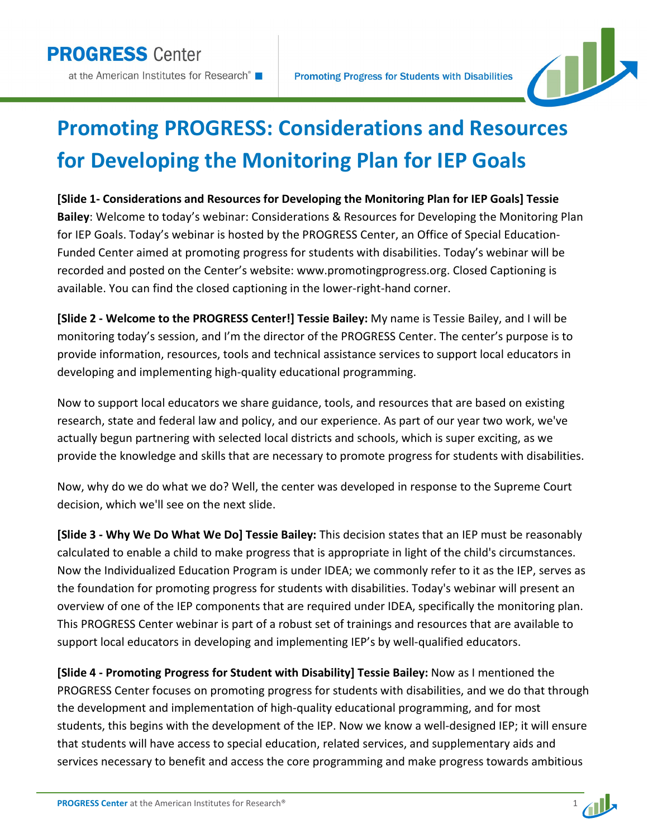

## **Promoting PROGRESS: Considerations and Resources for Developing the Monitoring Plan for IEP Goals**

**[Slide 1- Considerations and Resources for Developing the Monitoring Plan for IEP Goals] Tessie Bailey**: Welcome to today's webinar: Considerations & Resources for Developing the Monitoring Plan for IEP Goals. Today's webinar is hosted by the PROGRESS Center, an Office of Special Education-Funded Center aimed at promoting progress for students with disabilities. Today's webinar will be recorded and posted on the Center's website: www.promotingprogress.org. Closed Captioning is available. You can find the closed captioning in the lower-right-hand corner.

**[Slide 2 - Welcome to the PROGRESS Center!] Tessie Bailey:** My name is Tessie Bailey, and I will be monitoring today's session, and I'm the director of the PROGRESS Center. The center's purpose is to provide information, resources, tools and technical assistance services to support local educators in developing and implementing high-quality educational programming.

Now to support local educators we share guidance, tools, and resources that are based on existing research, state and federal law and policy, and our experience. As part of our year two work, we've actually begun partnering with selected local districts and schools, which is super exciting, as we provide the knowledge and skills that are necessary to promote progress for students with disabilities.

Now, why do we do what we do? Well, the center was developed in response to the Supreme Court decision, which we'll see on the next slide.

**[Slide 3 - Why We Do What We Do] Tessie Bailey:** This decision states that an IEP must be reasonably calculated to enable a child to make progress that is appropriate in light of the child's circumstances. Now the Individualized Education Program is under IDEA; we commonly refer to it as the IEP, serves as the foundation for promoting progress for students with disabilities. Today's webinar will present an overview of one of the IEP components that are required under IDEA, specifically the monitoring plan. This PROGRESS Center webinar is part of a robust set of trainings and resources that are available to support local educators in developing and implementing IEP's by well-qualified educators.

**[Slide 4 - Promoting Progress for Student with Disability] Tessie Bailey:** Now as I mentioned the PROGRESS Center focuses on promoting progress for students with disabilities, and we do that through the development and implementation of high-quality educational programming, and for most students, this begins with the development of the IEP. Now we know a well-designed IEP; it will ensure that students will have access to special education, related services, and supplementary aids and services necessary to benefit and access the core programming and make progress towards ambitious

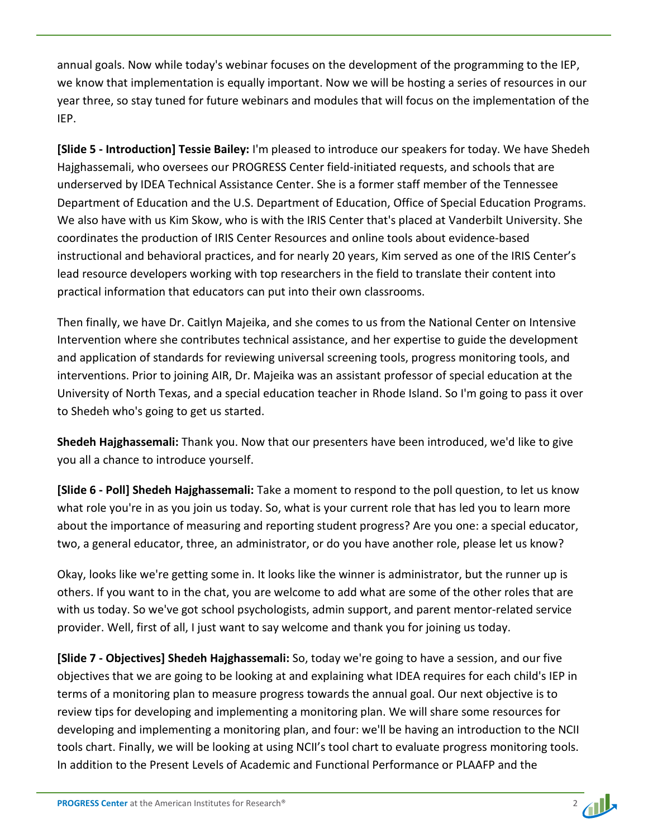annual goals. Now while today's webinar focuses on the development of the programming to the IEP, we know that implementation is equally important. Now we will be hosting a series of resources in our year three, so stay tuned for future webinars and modules that will focus on the implementation of the IEP.

**[Slide 5 - Introduction] Tessie Bailey:** I'm pleased to introduce our speakers for today. We have Shedeh Hajghassemali, who oversees our PROGRESS Center field-initiated requests, and schools that are underserved by IDEA Technical Assistance Center. She is a former staff member of the Tennessee Department of Education and the U.S. Department of Education, Office of Special Education Programs. We also have with us Kim Skow, who is with the IRIS Center that's placed at Vanderbilt University. She coordinates the production of IRIS Center Resources and online tools about evidence-based instructional and behavioral practices, and for nearly 20 years, Kim served as one of the IRIS Center's lead resource developers working with top researchers in the field to translate their content into practical information that educators can put into their own classrooms.

Then finally, we have Dr. Caitlyn Majeika, and she comes to us from the National Center on Intensive Intervention where she contributes technical assistance, and her expertise to guide the development and application of standards for reviewing universal screening tools, progress monitoring tools, and interventions. Prior to joining AIR, Dr. Majeika was an assistant professor of special education at the University of North Texas, and a special education teacher in Rhode Island. So I'm going to pass it over to Shedeh who's going to get us started.

**Shedeh Hajghassemali:** Thank you. Now that our presenters have been introduced, we'd like to give you all a chance to introduce yourself.

**[Slide 6 - Poll] Shedeh Hajghassemali:** Take a moment to respond to the poll question, to let us know what role you're in as you join us today. So, what is your current role that has led you to learn more about the importance of measuring and reporting student progress? Are you one: a special educator, two, a general educator, three, an administrator, or do you have another role, please let us know?

Okay, looks like we're getting some in. It looks like the winner is administrator, but the runner up is others. If you want to in the chat, you are welcome to add what are some of the other roles that are with us today. So we've got school psychologists, admin support, and parent mentor-related service provider. Well, first of all, I just want to say welcome and thank you for joining us today.

**[Slide 7 - Objectives] Shedeh Hajghassemali:** So, today we're going to have a session, and our five objectives that we are going to be looking at and explaining what IDEA requires for each child's IEP in terms of a monitoring plan to measure progress towards the annual goal. Our next objective is to review tips for developing and implementing a monitoring plan. We will share some resources for developing and implementing a monitoring plan, and four: we'll be having an introduction to the NCII tools chart. Finally, we will be looking at using NCII's tool chart to evaluate progress monitoring tools. In addition to the Present Levels of Academic and Functional Performance or PLAAFP and the

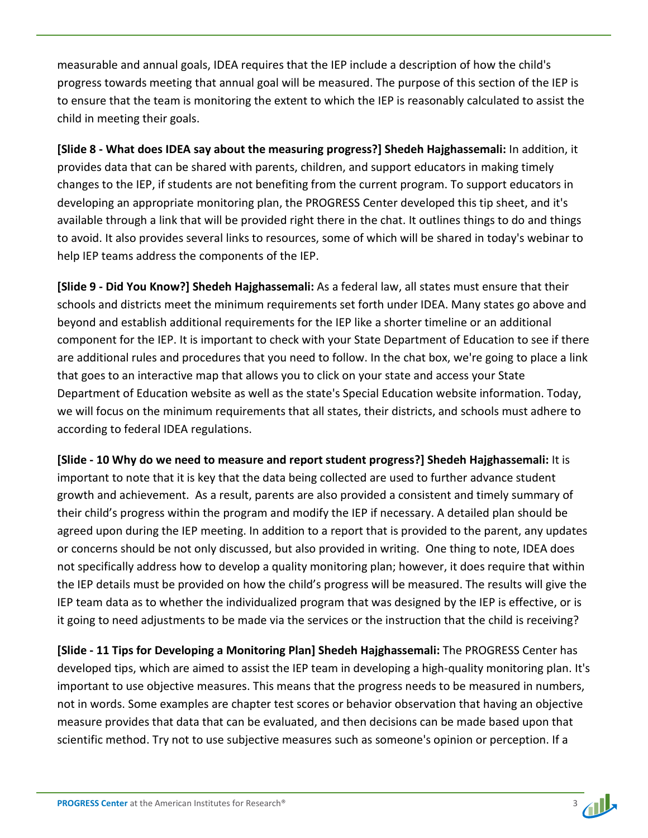measurable and annual goals, IDEA requires that the IEP include a description of how the child's progress towards meeting that annual goal will be measured. The purpose of this section of the IEP is to ensure that the team is monitoring the extent to which the IEP is reasonably calculated to assist the child in meeting their goals.

**[Slide 8 - What does IDEA say about the measuring progress?] Shedeh Hajghassemali:** In addition, it provides data that can be shared with parents, children, and support educators in making timely changes to the IEP, if students are not benefiting from the current program. To support educators in developing an appropriate monitoring plan, the PROGRESS Center developed this tip sheet, and it's available through a link that will be provided right there in the chat. It outlines things to do and things to avoid. It also provides several links to resources, some of which will be shared in today's webinar to help IEP teams address the components of the IEP.

**[Slide 9 - Did You Know?] Shedeh Hajghassemali:** As a federal law, all states must ensure that their schools and districts meet the minimum requirements set forth under IDEA. Many states go above and beyond and establish additional requirements for the IEP like a shorter timeline or an additional component for the IEP. It is important to check with your State Department of Education to see if there are additional rules and procedures that you need to follow. In the chat box, we're going to place a link that goes to an interactive map that allows you to click on your state and access your State Department of Education website as well as the state's Special Education website information. Today, we will focus on the minimum requirements that all states, their districts, and schools must adhere to according to federal IDEA regulations.

**[Slide - 10 Why do we need to measure and report student progress?] Shedeh Hajghassemali:** It is important to note that it is key that the data being collected are used to further advance student growth and achievement. As a result, parents are also provided a consistent and timely summary of their child's progress within the program and modify the IEP if necessary. A detailed plan should be agreed upon during the IEP meeting. In addition to a report that is provided to the parent, any updates or concerns should be not only discussed, but also provided in writing. One thing to note, IDEA does not specifically address how to develop a quality monitoring plan; however, it does require that within the IEP details must be provided on how the child's progress will be measured. The results will give the IEP team data as to whether the individualized program that was designed by the IEP is effective, or is it going to need adjustments to be made via the services or the instruction that the child is receiving?

**[Slide - 11 Tips for Developing a Monitoring Plan] Shedeh Hajghassemali:** The PROGRESS Center has developed tips, which are aimed to assist the IEP team in developing a high-quality monitoring plan. It's important to use objective measures. This means that the progress needs to be measured in numbers, not in words. Some examples are chapter test scores or behavior observation that having an objective measure provides that data that can be evaluated, and then decisions can be made based upon that scientific method. Try not to use subjective measures such as someone's opinion or perception. If a

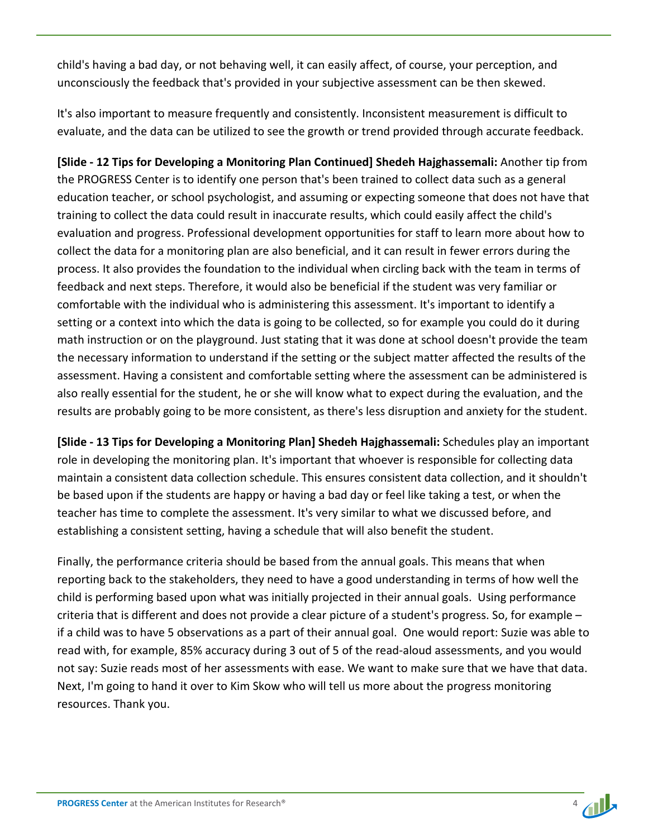child's having a bad day, or not behaving well, it can easily affect, of course, your perception, and unconsciously the feedback that's provided in your subjective assessment can be then skewed.

It's also important to measure frequently and consistently. Inconsistent measurement is difficult to evaluate, and the data can be utilized to see the growth or trend provided through accurate feedback.

**[Slide - 12 Tips for Developing a Monitoring Plan Continued] Shedeh Hajghassemali:** Another tip from the PROGRESS Center is to identify one person that's been trained to collect data such as a general education teacher, or school psychologist, and assuming or expecting someone that does not have that training to collect the data could result in inaccurate results, which could easily affect the child's evaluation and progress. Professional development opportunities for staff to learn more about how to collect the data for a monitoring plan are also beneficial, and it can result in fewer errors during the process. It also provides the foundation to the individual when circling back with the team in terms of feedback and next steps. Therefore, it would also be beneficial if the student was very familiar or comfortable with the individual who is administering this assessment. It's important to identify a setting or a context into which the data is going to be collected, so for example you could do it during math instruction or on the playground. Just stating that it was done at school doesn't provide the team the necessary information to understand if the setting or the subject matter affected the results of the assessment. Having a consistent and comfortable setting where the assessment can be administered is also really essential for the student, he or she will know what to expect during the evaluation, and the results are probably going to be more consistent, as there's less disruption and anxiety for the student.

**[Slide - 13 Tips for Developing a Monitoring Plan] Shedeh Hajghassemali:** Schedules play an important role in developing the monitoring plan. It's important that whoever is responsible for collecting data maintain a consistent data collection schedule. This ensures consistent data collection, and it shouldn't be based upon if the students are happy or having a bad day or feel like taking a test, or when the teacher has time to complete the assessment. It's very similar to what we discussed before, and establishing a consistent setting, having a schedule that will also benefit the student.

Finally, the performance criteria should be based from the annual goals. This means that when reporting back to the stakeholders, they need to have a good understanding in terms of how well the child is performing based upon what was initially projected in their annual goals. Using performance criteria that is different and does not provide a clear picture of a student's progress. So, for example – if a child was to have 5 observations as a part of their annual goal. One would report: Suzie was able to read with, for example, 85% accuracy during 3 out of 5 of the read-aloud assessments, and you would not say: Suzie reads most of her assessments with ease. We want to make sure that we have that data. Next, I'm going to hand it over to Kim Skow who will tell us more about the progress monitoring resources. Thank you.

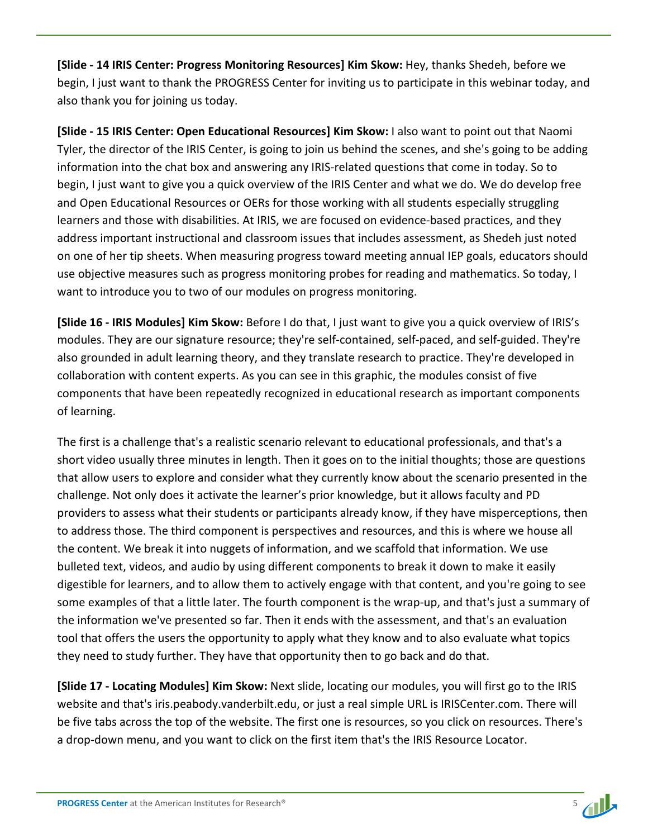**[Slide - 14 IRIS Center: Progress Monitoring Resources] Kim Skow:** Hey, thanks Shedeh, before we begin, I just want to thank the PROGRESS Center for inviting us to participate in this webinar today, and also thank you for joining us today.

**[Slide - 15 IRIS Center: Open Educational Resources] Kim Skow:** I also want to point out that Naomi Tyler, the director of the IRIS Center, is going to join us behind the scenes, and she's going to be adding information into the chat box and answering any IRIS-related questions that come in today. So to begin, I just want to give you a quick overview of the IRIS Center and what we do. We do develop free and Open Educational Resources or OERs for those working with all students especially struggling learners and those with disabilities. At IRIS, we are focused on evidence-based practices, and they address important instructional and classroom issues that includes assessment, as Shedeh just noted on one of her tip sheets. When measuring progress toward meeting annual IEP goals, educators should use objective measures such as progress monitoring probes for reading and mathematics. So today, I want to introduce you to two of our modules on progress monitoring.

**[Slide 16 - IRIS Modules] Kim Skow:** Before I do that, I just want to give you a quick overview of IRIS's modules. They are our signature resource; they're self-contained, self-paced, and self-guided. They're also grounded in adult learning theory, and they translate research to practice. They're developed in collaboration with content experts. As you can see in this graphic, the modules consist of five components that have been repeatedly recognized in educational research as important components of learning.

The first is a challenge that's a realistic scenario relevant to educational professionals, and that's a short video usually three minutes in length. Then it goes on to the initial thoughts; those are questions that allow users to explore and consider what they currently know about the scenario presented in the challenge. Not only does it activate the learner's prior knowledge, but it allows faculty and PD providers to assess what their students or participants already know, if they have misperceptions, then to address those. The third component is perspectives and resources, and this is where we house all the content. We break it into nuggets of information, and we scaffold that information. We use bulleted text, videos, and audio by using different components to break it down to make it easily digestible for learners, and to allow them to actively engage with that content, and you're going to see some examples of that a little later. The fourth component is the wrap-up, and that's just a summary of the information we've presented so far. Then it ends with the assessment, and that's an evaluation tool that offers the users the opportunity to apply what they know and to also evaluate what topics they need to study further. They have that opportunity then to go back and do that.

**[Slide 17 - Locating Modules] Kim Skow:** Next slide, locating our modules, you will first go to the IRIS website and that's iris.peabody.vanderbilt.edu, or just a real simple URL is IRISCenter.com. There will be five tabs across the top of the website. The first one is resources, so you click on resources. There's a drop-down menu, and you want to click on the first item that's the IRIS Resource Locator.

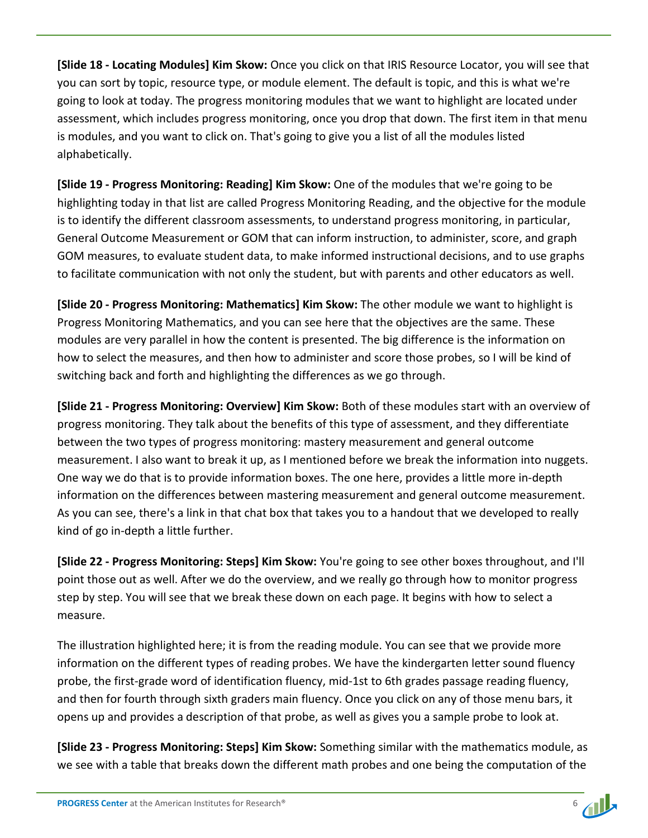**[Slide 18 - Locating Modules] Kim Skow:** Once you click on that IRIS Resource Locator, you will see that you can sort by topic, resource type, or module element. The default is topic, and this is what we're going to look at today. The progress monitoring modules that we want to highlight are located under assessment, which includes progress monitoring, once you drop that down. The first item in that menu is modules, and you want to click on. That's going to give you a list of all the modules listed alphabetically.

**[Slide 19 - Progress Monitoring: Reading] Kim Skow:** One of the modules that we're going to be highlighting today in that list are called Progress Monitoring Reading, and the objective for the module is to identify the different classroom assessments, to understand progress monitoring, in particular, General Outcome Measurement or GOM that can inform instruction, to administer, score, and graph GOM measures, to evaluate student data, to make informed instructional decisions, and to use graphs to facilitate communication with not only the student, but with parents and other educators as well.

**[Slide 20 - Progress Monitoring: Mathematics] Kim Skow:** The other module we want to highlight is Progress Monitoring Mathematics, and you can see here that the objectives are the same. These modules are very parallel in how the content is presented. The big difference is the information on how to select the measures, and then how to administer and score those probes, so I will be kind of switching back and forth and highlighting the differences as we go through.

**[Slide 21 - Progress Monitoring: Overview] Kim Skow:** Both of these modules start with an overview of progress monitoring. They talk about the benefits of this type of assessment, and they differentiate between the two types of progress monitoring: mastery measurement and general outcome measurement. I also want to break it up, as I mentioned before we break the information into nuggets. One way we do that is to provide information boxes. The one here, provides a little more in-depth information on the differences between mastering measurement and general outcome measurement. As you can see, there's a link in that chat box that takes you to a handout that we developed to really kind of go in-depth a little further.

**[Slide 22 - Progress Monitoring: Steps] Kim Skow:** You're going to see other boxes throughout, and I'll point those out as well. After we do the overview, and we really go through how to monitor progress step by step. You will see that we break these down on each page. It begins with how to select a measure.

The illustration highlighted here; it is from the reading module. You can see that we provide more information on the different types of reading probes. We have the kindergarten letter sound fluency probe, the first-grade word of identification fluency, mid-1st to 6th grades passage reading fluency, and then for fourth through sixth graders main fluency. Once you click on any of those menu bars, it opens up and provides a description of that probe, as well as gives you a sample probe to look at.

**[Slide 23 - Progress Monitoring: Steps] Kim Skow:** Something similar with the mathematics module, as we see with a table that breaks down the different math probes and one being the computation of the

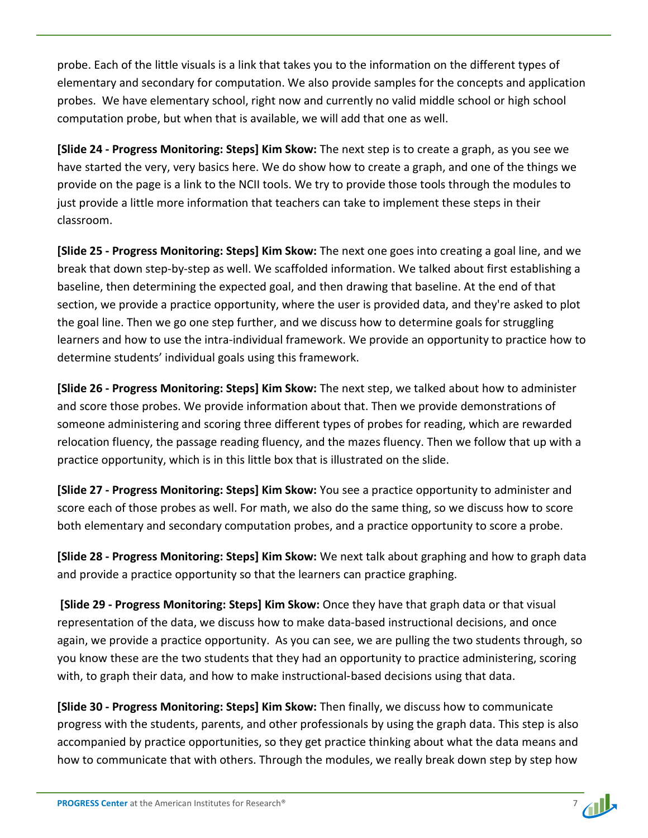probe. Each of the little visuals is a link that takes you to the information on the different types of elementary and secondary for computation. We also provide samples for the concepts and application probes. We have elementary school, right now and currently no valid middle school or high school computation probe, but when that is available, we will add that one as well.

**[Slide 24 - Progress Monitoring: Steps] Kim Skow:** The next step is to create a graph, as you see we have started the very, very basics here. We do show how to create a graph, and one of the things we provide on the page is a link to the NCII tools. We try to provide those tools through the modules to just provide a little more information that teachers can take to implement these steps in their classroom.

**[Slide 25 - Progress Monitoring: Steps] Kim Skow:** The next one goes into creating a goal line, and we break that down step-by-step as well. We scaffolded information. We talked about first establishing a baseline, then determining the expected goal, and then drawing that baseline. At the end of that section, we provide a practice opportunity, where the user is provided data, and they're asked to plot the goal line. Then we go one step further, and we discuss how to determine goals for struggling learners and how to use the intra-individual framework. We provide an opportunity to practice how to determine students' individual goals using this framework.

**[Slide 26 - Progress Monitoring: Steps] Kim Skow:** The next step, we talked about how to administer and score those probes. We provide information about that. Then we provide demonstrations of someone administering and scoring three different types of probes for reading, which are rewarded relocation fluency, the passage reading fluency, and the mazes fluency. Then we follow that up with a practice opportunity, which is in this little box that is illustrated on the slide.

**[Slide 27 - Progress Monitoring: Steps] Kim Skow:** You see a practice opportunity to administer and score each of those probes as well. For math, we also do the same thing, so we discuss how to score both elementary and secondary computation probes, and a practice opportunity to score a probe.

**[Slide 28 - Progress Monitoring: Steps] Kim Skow:** We next talk about graphing and how to graph data and provide a practice opportunity so that the learners can practice graphing.

**[Slide 29 - Progress Monitoring: Steps] Kim Skow:** Once they have that graph data or that visual representation of the data, we discuss how to make data-based instructional decisions, and once again, we provide a practice opportunity. As you can see, we are pulling the two students through, so you know these are the two students that they had an opportunity to practice administering, scoring with, to graph their data, and how to make instructional-based decisions using that data.

**[Slide 30 - Progress Monitoring: Steps] Kim Skow:** Then finally, we discuss how to communicate progress with the students, parents, and other professionals by using the graph data. This step is also accompanied by practice opportunities, so they get practice thinking about what the data means and how to communicate that with others. Through the modules, we really break down step by step how

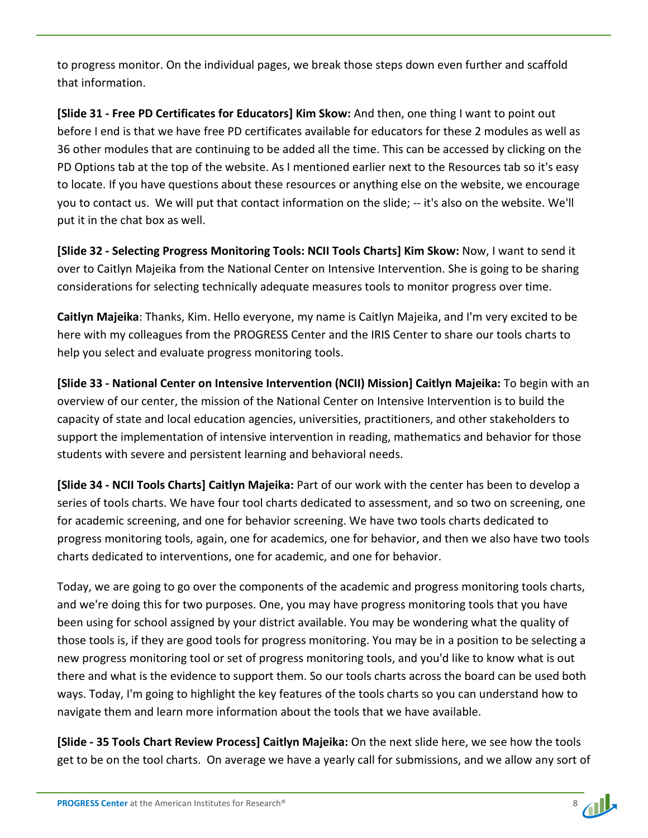to progress monitor. On the individual pages, we break those steps down even further and scaffold that information.

**[Slide 31 - Free PD Certificates for Educators] Kim Skow:** And then, one thing I want to point out before I end is that we have free PD certificates available for educators for these 2 modules as well as 36 other modules that are continuing to be added all the time. This can be accessed by clicking on the PD Options tab at the top of the website. As I mentioned earlier next to the Resources tab so it's easy to locate. If you have questions about these resources or anything else on the website, we encourage you to contact us. We will put that contact information on the slide; -- it's also on the website. We'll put it in the chat box as well.

**[Slide 32 - Selecting Progress Monitoring Tools: NCII Tools Charts] Kim Skow:** Now, I want to send it over to Caitlyn Majeika from the National Center on Intensive Intervention. She is going to be sharing considerations for selecting technically adequate measures tools to monitor progress over time.

**Caitlyn Majeika**: Thanks, Kim. Hello everyone, my name is Caitlyn Majeika, and I'm very excited to be here with my colleagues from the PROGRESS Center and the IRIS Center to share our tools charts to help you select and evaluate progress monitoring tools.

**[Slide 33 - National Center on Intensive Intervention (NCII) Mission] Caitlyn Majeika:** To begin with an overview of our center, the mission of the National Center on Intensive Intervention is to build the capacity of state and local education agencies, universities, practitioners, and other stakeholders to support the implementation of intensive intervention in reading, mathematics and behavior for those students with severe and persistent learning and behavioral needs.

**[Slide 34 - NCII Tools Charts] Caitlyn Majeika:** Part of our work with the center has been to develop a series of tools charts. We have four tool charts dedicated to assessment, and so two on screening, one for academic screening, and one for behavior screening. We have two tools charts dedicated to progress monitoring tools, again, one for academics, one for behavior, and then we also have two tools charts dedicated to interventions, one for academic, and one for behavior.

Today, we are going to go over the components of the academic and progress monitoring tools charts, and we're doing this for two purposes. One, you may have progress monitoring tools that you have been using for school assigned by your district available. You may be wondering what the quality of those tools is, if they are good tools for progress monitoring. You may be in a position to be selecting a new progress monitoring tool or set of progress monitoring tools, and you'd like to know what is out there and what is the evidence to support them. So our tools charts across the board can be used both ways. Today, I'm going to highlight the key features of the tools charts so you can understand how to navigate them and learn more information about the tools that we have available.

**[Slide - 35 Tools Chart Review Process] Caitlyn Majeika:** On the next slide here, we see how the tools get to be on the tool charts. On average we have a yearly call for submissions, and we allow any sort of

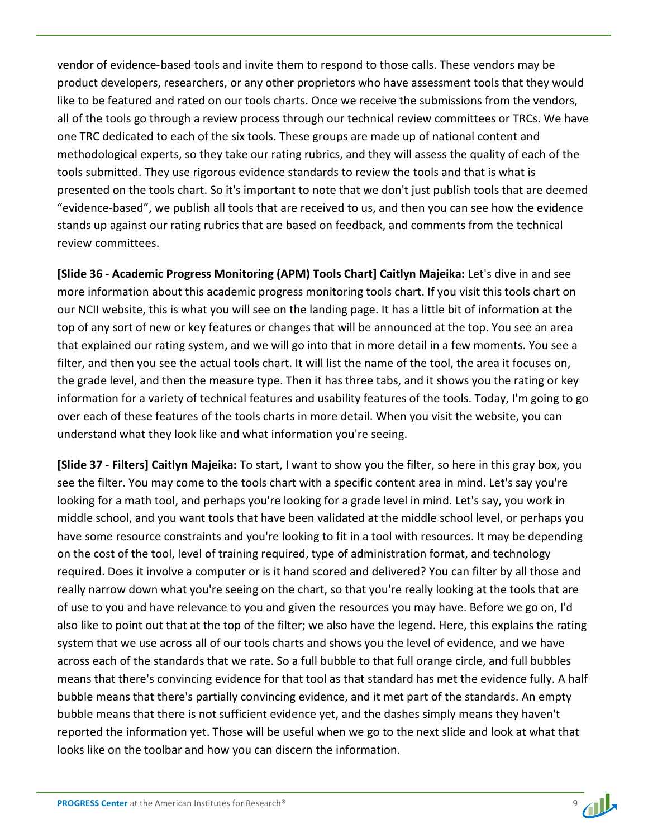vendor of evidence-based tools and invite them to respond to those calls. These vendors may be product developers, researchers, or any other proprietors who have assessment tools that they would like to be featured and rated on our tools charts. Once we receive the submissions from the vendors, all of the tools go through a review process through our technical review committees or TRCs. We have one TRC dedicated to each of the six tools. These groups are made up of national content and methodological experts, so they take our rating rubrics, and they will assess the quality of each of the tools submitted. They use rigorous evidence standards to review the tools and that is what is presented on the tools chart. So it's important to note that we don't just publish tools that are deemed "evidence-based", we publish all tools that are received to us, and then you can see how the evidence stands up against our rating rubrics that are based on feedback, and comments from the technical review committees.

**[Slide 36 - Academic Progress Monitoring (APM) Tools Chart] Caitlyn Majeika:** Let's dive in and see more information about this academic progress monitoring tools chart. If you visit this tools chart on our NCII website, this is what you will see on the landing page. It has a little bit of information at the top of any sort of new or key features or changes that will be announced at the top. You see an area that explained our rating system, and we will go into that in more detail in a few moments. You see a filter, and then you see the actual tools chart. It will list the name of the tool, the area it focuses on, the grade level, and then the measure type. Then it has three tabs, and it shows you the rating or key information for a variety of technical features and usability features of the tools. Today, I'm going to go over each of these features of the tools charts in more detail. When you visit the website, you can understand what they look like and what information you're seeing.

**[Slide 37 - Filters] Caitlyn Majeika:** To start, I want to show you the filter, so here in this gray box, you see the filter. You may come to the tools chart with a specific content area in mind. Let's say you're looking for a math tool, and perhaps you're looking for a grade level in mind. Let's say, you work in middle school, and you want tools that have been validated at the middle school level, or perhaps you have some resource constraints and you're looking to fit in a tool with resources. It may be depending on the cost of the tool, level of training required, type of administration format, and technology required. Does it involve a computer or is it hand scored and delivered? You can filter by all those and really narrow down what you're seeing on the chart, so that you're really looking at the tools that are of use to you and have relevance to you and given the resources you may have. Before we go on, I'd also like to point out that at the top of the filter; we also have the legend. Here, this explains the rating system that we use across all of our tools charts and shows you the level of evidence, and we have across each of the standards that we rate. So a full bubble to that full orange circle, and full bubbles means that there's convincing evidence for that tool as that standard has met the evidence fully. A half bubble means that there's partially convincing evidence, and it met part of the standards. An empty bubble means that there is not sufficient evidence yet, and the dashes simply means they haven't reported the information yet. Those will be useful when we go to the next slide and look at what that looks like on the toolbar and how you can discern the information.

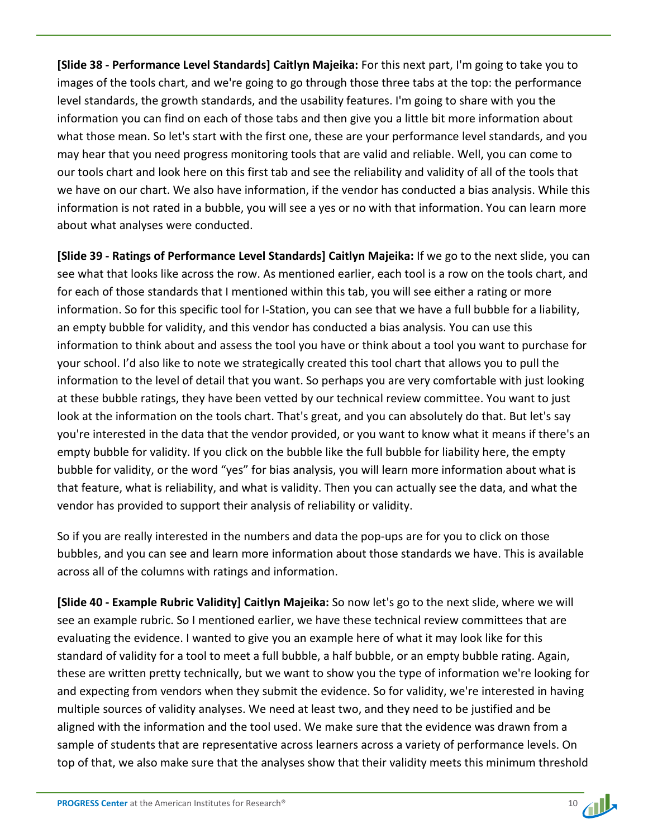**[Slide 38 - Performance Level Standards] Caitlyn Majeika:** For this next part, I'm going to take you to images of the tools chart, and we're going to go through those three tabs at the top: the performance level standards, the growth standards, and the usability features. I'm going to share with you the information you can find on each of those tabs and then give you a little bit more information about what those mean. So let's start with the first one, these are your performance level standards, and you may hear that you need progress monitoring tools that are valid and reliable. Well, you can come to our tools chart and look here on this first tab and see the reliability and validity of all of the tools that we have on our chart. We also have information, if the vendor has conducted a bias analysis. While this information is not rated in a bubble, you will see a yes or no with that information. You can learn more about what analyses were conducted.

**[Slide 39 - Ratings of Performance Level Standards] Caitlyn Majeika:** If we go to the next slide, you can see what that looks like across the row. As mentioned earlier, each tool is a row on the tools chart, and for each of those standards that I mentioned within this tab, you will see either a rating or more information. So for this specific tool for I-Station, you can see that we have a full bubble for a liability, an empty bubble for validity, and this vendor has conducted a bias analysis. You can use this information to think about and assess the tool you have or think about a tool you want to purchase for your school. I'd also like to note we strategically created this tool chart that allows you to pull the information to the level of detail that you want. So perhaps you are very comfortable with just looking at these bubble ratings, they have been vetted by our technical review committee. You want to just look at the information on the tools chart. That's great, and you can absolutely do that. But let's say you're interested in the data that the vendor provided, or you want to know what it means if there's an empty bubble for validity. If you click on the bubble like the full bubble for liability here, the empty bubble for validity, or the word "yes" for bias analysis, you will learn more information about what is that feature, what is reliability, and what is validity. Then you can actually see the data, and what the vendor has provided to support their analysis of reliability or validity.

So if you are really interested in the numbers and data the pop-ups are for you to click on those bubbles, and you can see and learn more information about those standards we have. This is available across all of the columns with ratings and information.

**[Slide 40 - Example Rubric Validity] Caitlyn Majeika:** So now let's go to the next slide, where we will see an example rubric. So I mentioned earlier, we have these technical review committees that are evaluating the evidence. I wanted to give you an example here of what it may look like for this standard of validity for a tool to meet a full bubble, a half bubble, or an empty bubble rating. Again, these are written pretty technically, but we want to show you the type of information we're looking for and expecting from vendors when they submit the evidence. So for validity, we're interested in having multiple sources of validity analyses. We need at least two, and they need to be justified and be aligned with the information and the tool used. We make sure that the evidence was drawn from a sample of students that are representative across learners across a variety of performance levels. On top of that, we also make sure that the analyses show that their validity meets this minimum threshold

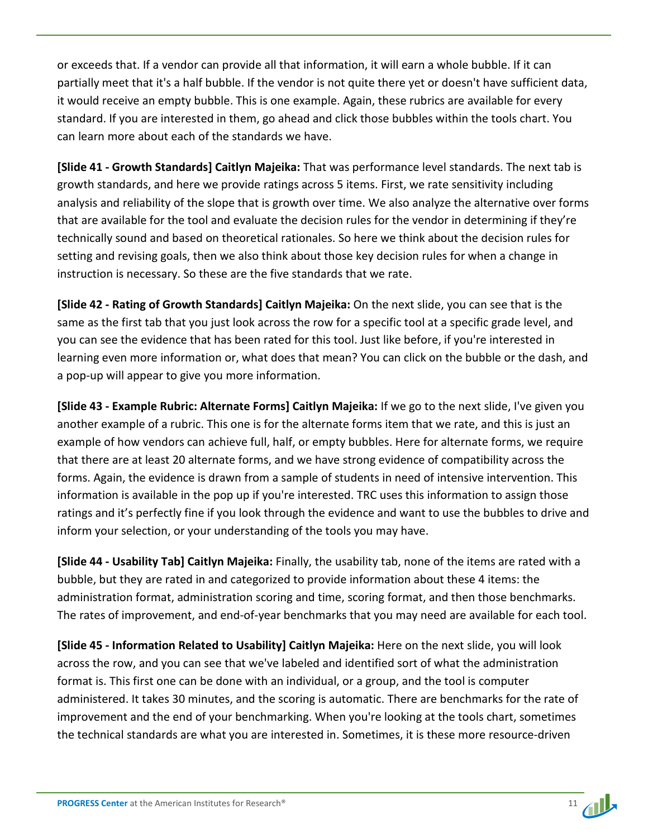or exceeds that. If a vendor can provide all that information, it will earn a whole bubble. If it can partially meet that it's a half bubble. If the vendor is not quite there yet or doesn't have sufficient data, it would receive an empty bubble. This is one example. Again, these rubrics are available for every standard. If you are interested in them, go ahead and click those bubbles within the tools chart. You can learn more about each of the standards we have.

**[Slide 41 - Growth Standards] Caitlyn Majeika:** That was performance level standards. The next tab is growth standards, and here we provide ratings across 5 items. First, we rate sensitivity including analysis and reliability of the slope that is growth over time. We also analyze the alternative over forms that are available for the tool and evaluate the decision rules for the vendor in determining if they're technically sound and based on theoretical rationales. So here we think about the decision rules for setting and revising goals, then we also think about those key decision rules for when a change in instruction is necessary. So these are the five standards that we rate.

**[Slide 42 - Rating of Growth Standards] Caitlyn Majeika:** On the next slide, you can see that is the same as the first tab that you just look across the row for a specific tool at a specific grade level, and you can see the evidence that has been rated for this tool. Just like before, if you're interested in learning even more information or, what does that mean? You can click on the bubble or the dash, and a pop-up will appear to give you more information.

**[Slide 43 - Example Rubric: Alternate Forms] Caitlyn Majeika:** If we go to the next slide, I've given you another example of a rubric. This one is for the alternate forms item that we rate, and this is just an example of how vendors can achieve full, half, or empty bubbles. Here for alternate forms, we require that there are at least 20 alternate forms, and we have strong evidence of compatibility across the forms. Again, the evidence is drawn from a sample of students in need of intensive intervention. This information is available in the pop up if you're interested. TRC uses this information to assign those ratings and it's perfectly fine if you look through the evidence and want to use the bubbles to drive and inform your selection, or your understanding of the tools you may have.

**[Slide 44 - Usability Tab] Caitlyn Majeika:** Finally, the usability tab, none of the items are rated with a bubble, but they are rated in and categorized to provide information about these 4 items: the administration format, administration scoring and time, scoring format, and then those benchmarks. The rates of improvement, and end-of-year benchmarks that you may need are available for each tool.

**[Slide 45 - Information Related to Usability] Caitlyn Majeika:** Here on the next slide, you will look across the row, and you can see that we've labeled and identified sort of what the administration format is. This first one can be done with an individual, or a group, and the tool is computer administered. It takes 30 minutes, and the scoring is automatic. There are benchmarks for the rate of improvement and the end of your benchmarking. When you're looking at the tools chart, sometimes the technical standards are what you are interested in. Sometimes, it is these more resource-driven

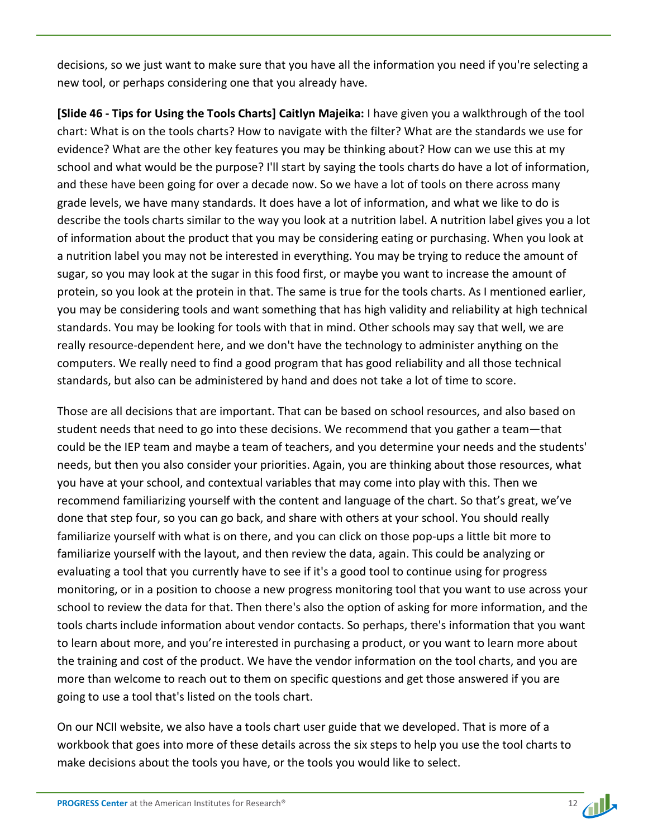decisions, so we just want to make sure that you have all the information you need if you're selecting a new tool, or perhaps considering one that you already have.

**[Slide 46 - Tips for Using the Tools Charts] Caitlyn Majeika:** I have given you a walkthrough of the tool chart: What is on the tools charts? How to navigate with the filter? What are the standards we use for evidence? What are the other key features you may be thinking about? How can we use this at my school and what would be the purpose? I'll start by saying the tools charts do have a lot of information, and these have been going for over a decade now. So we have a lot of tools on there across many grade levels, we have many standards. It does have a lot of information, and what we like to do is describe the tools charts similar to the way you look at a nutrition label. A nutrition label gives you a lot of information about the product that you may be considering eating or purchasing. When you look at a nutrition label you may not be interested in everything. You may be trying to reduce the amount of sugar, so you may look at the sugar in this food first, or maybe you want to increase the amount of protein, so you look at the protein in that. The same is true for the tools charts. As I mentioned earlier, you may be considering tools and want something that has high validity and reliability at high technical standards. You may be looking for tools with that in mind. Other schools may say that well, we are really resource-dependent here, and we don't have the technology to administer anything on the computers. We really need to find a good program that has good reliability and all those technical standards, but also can be administered by hand and does not take a lot of time to score.

Those are all decisions that are important. That can be based on school resources, and also based on student needs that need to go into these decisions. We recommend that you gather a team—that could be the IEP team and maybe a team of teachers, and you determine your needs and the students' needs, but then you also consider your priorities. Again, you are thinking about those resources, what you have at your school, and contextual variables that may come into play with this. Then we recommend familiarizing yourself with the content and language of the chart. So that's great, we've done that step four, so you can go back, and share with others at your school. You should really familiarize yourself with what is on there, and you can click on those pop-ups a little bit more to familiarize yourself with the layout, and then review the data, again. This could be analyzing or evaluating a tool that you currently have to see if it's a good tool to continue using for progress monitoring, or in a position to choose a new progress monitoring tool that you want to use across your school to review the data for that. Then there's also the option of asking for more information, and the tools charts include information about vendor contacts. So perhaps, there's information that you want to learn about more, and you're interested in purchasing a product, or you want to learn more about the training and cost of the product. We have the vendor information on the tool charts, and you are more than welcome to reach out to them on specific questions and get those answered if you are going to use a tool that's listed on the tools chart.

On our NCII website, we also have a tools chart user guide that we developed. That is more of a workbook that goes into more of these details across the six steps to help you use the tool charts to make decisions about the tools you have, or the tools you would like to select.

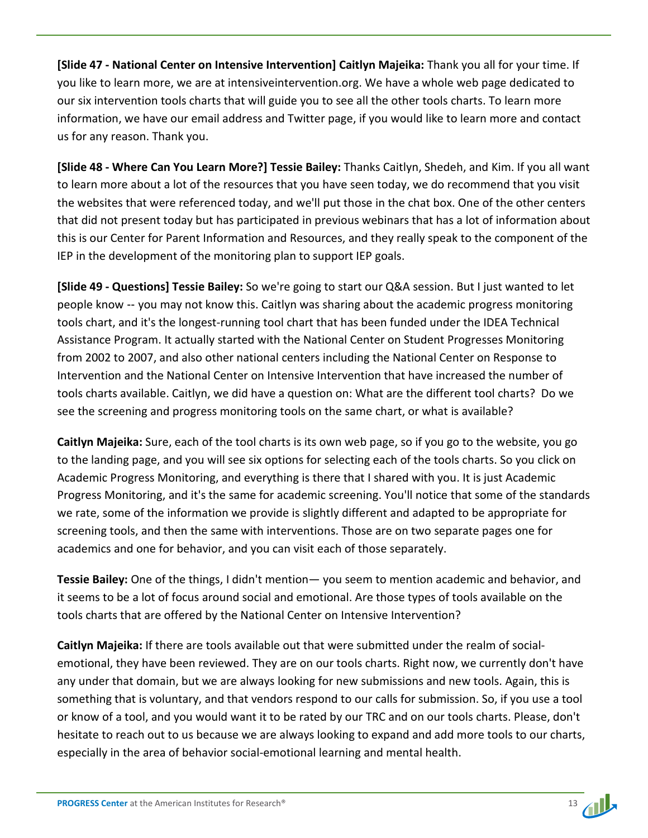**[Slide 47 - National Center on Intensive Intervention] Caitlyn Majeika:** Thank you all for your time. If you like to learn more, we are at intensiveintervention.org. We have a whole web page dedicated to our six intervention tools charts that will guide you to see all the other tools charts. To learn more information, we have our email address and Twitter page, if you would like to learn more and contact us for any reason. Thank you.

**[Slide 48 - Where Can You Learn More?] Tessie Bailey:** Thanks Caitlyn, Shedeh, and Kim. If you all want to learn more about a lot of the resources that you have seen today, we do recommend that you visit the websites that were referenced today, and we'll put those in the chat box. One of the other centers that did not present today but has participated in previous webinars that has a lot of information about this is our Center for Parent Information and Resources, and they really speak to the component of the IEP in the development of the monitoring plan to support IEP goals.

**[Slide 49 - Questions] Tessie Bailey:** So we're going to start our Q&A session. But I just wanted to let people know ‑‑ you may not know this. Caitlyn was sharing about the academic progress monitoring tools chart, and it's the longest-running tool chart that has been funded under the IDEA Technical Assistance Program. It actually started with the National Center on Student Progresses Monitoring from 2002 to 2007, and also other national centers including the National Center on Response to Intervention and the National Center on Intensive Intervention that have increased the number of tools charts available. Caitlyn, we did have a question on: What are the different tool charts? Do we see the screening and progress monitoring tools on the same chart, or what is available?

**Caitlyn Majeika:** Sure, each of the tool charts is its own web page, so if you go to the website, you go to the landing page, and you will see six options for selecting each of the tools charts. So you click on Academic Progress Monitoring, and everything is there that I shared with you. It is just Academic Progress Monitoring, and it's the same for academic screening. You'll notice that some of the standards we rate, some of the information we provide is slightly different and adapted to be appropriate for screening tools, and then the same with interventions. Those are on two separate pages one for academics and one for behavior, and you can visit each of those separately.

**Tessie Bailey:** One of the things, I didn't mention— you seem to mention academic and behavior, and it seems to be a lot of focus around social and emotional. Are those types of tools available on the tools charts that are offered by the National Center on Intensive Intervention?

**Caitlyn Majeika:** If there are tools available out that were submitted under the realm of socialemotional, they have been reviewed. They are on our tools charts. Right now, we currently don't have any under that domain, but we are always looking for new submissions and new tools. Again, this is something that is voluntary, and that vendors respond to our calls for submission. So, if you use a tool or know of a tool, and you would want it to be rated by our TRC and on our tools charts. Please, don't hesitate to reach out to us because we are always looking to expand and add more tools to our charts, especially in the area of behavior social-emotional learning and mental health.

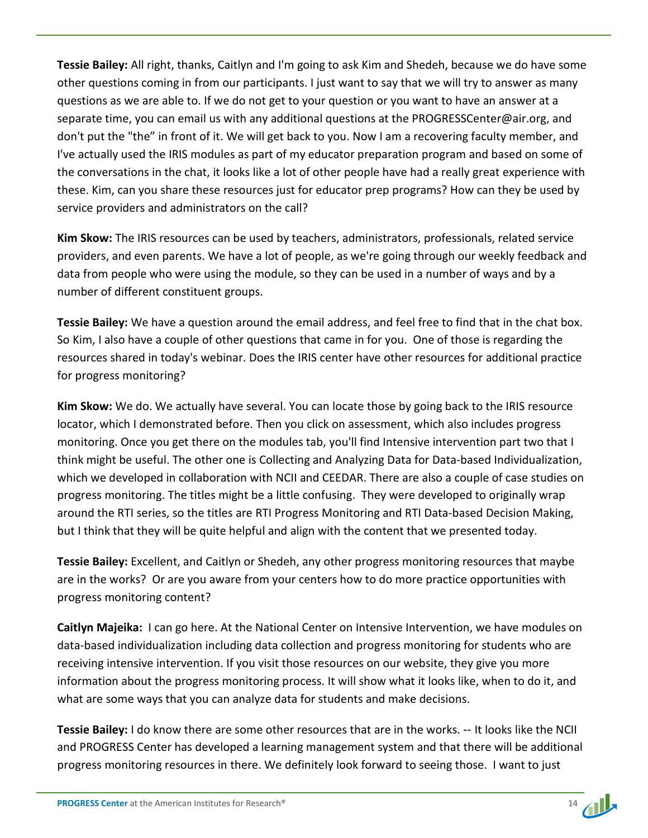**Tessie Bailey:** All right, thanks, Caitlyn and I'm going to ask Kim and Shedeh, because we do have some other questions coming in from our participants. I just want to say that we will try to answer as many questions as we are able to. If we do not get to your question or you want to have an answer at a separate time, you can email us with any additional questions at the PROGRESSCenter@air.org, and don't put the "the" in front of it. We will get back to you. Now I am a recovering faculty member, and I've actually used the IRIS modules as part of my educator preparation program and based on some of the conversations in the chat, it looks like a lot of other people have had a really great experience with these. Kim, can you share these resources just for educator prep programs? How can they be used by service providers and administrators on the call?

**Kim Skow:** The IRIS resources can be used by teachers, administrators, professionals, related service providers, and even parents. We have a lot of people, as we're going through our weekly feedback and data from people who were using the module, so they can be used in a number of ways and by a number of different constituent groups.

**Tessie Bailey:** We have a question around the email address, and feel free to find that in the chat box. So Kim, I also have a couple of other questions that came in for you. One of those is regarding the resources shared in today's webinar. Does the IRIS center have other resources for additional practice for progress monitoring?

**Kim Skow:** We do. We actually have several. You can locate those by going back to the IRIS resource locator, which I demonstrated before. Then you click on assessment, which also includes progress monitoring. Once you get there on the modules tab, you'll find Intensive intervention part two that I think might be useful. The other one is Collecting and Analyzing Data for Data-based Individualization, which we developed in collaboration with NCII and CEEDAR. There are also a couple of case studies on progress monitoring. The titles might be a little confusing. They were developed to originally wrap around the RTI series, so the titles are RTI Progress Monitoring and RTI Data-based Decision Making, but I think that they will be quite helpful and align with the content that we presented today.

**Tessie Bailey:** Excellent, and Caitlyn or Shedeh, any other progress monitoring resources that maybe are in the works? Or are you aware from your centers how to do more practice opportunities with progress monitoring content?

**Caitlyn Majeika:** I can go here. At the National Center on Intensive Intervention, we have modules on data-based individualization including data collection and progress monitoring for students who are receiving intensive intervention. If you visit those resources on our website, they give you more information about the progress monitoring process. It will show what it looks like, when to do it, and what are some ways that you can analyze data for students and make decisions.

**Tessie Bailey:** I do know there are some other resources that are in the works. ‑‑ It looks like the NCII and PROGRESS Center has developed a learning management system and that there will be additional progress monitoring resources in there. We definitely look forward to seeing those. I want to just

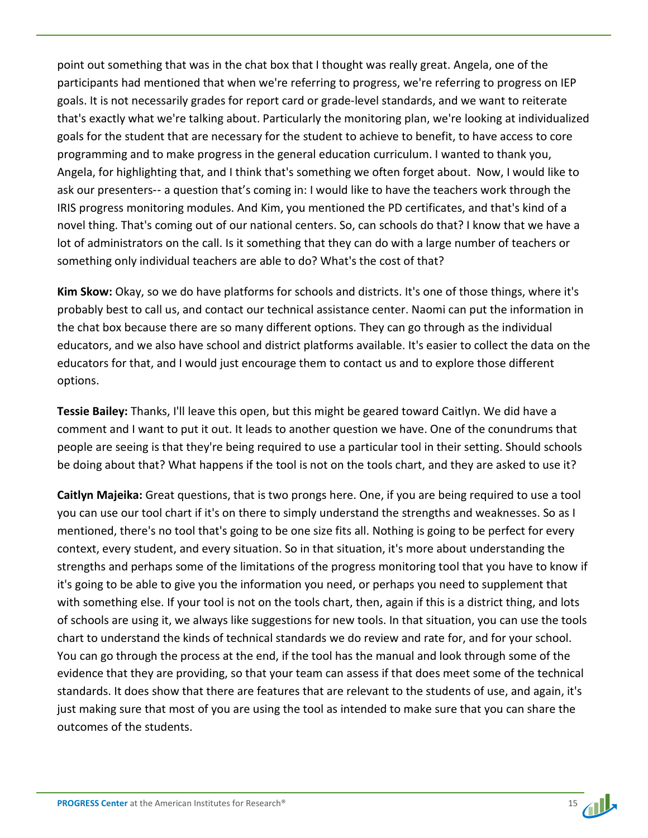point out something that was in the chat box that I thought was really great. Angela, one of the participants had mentioned that when we're referring to progress, we're referring to progress on IEP goals. It is not necessarily grades for report card or grade-level standards, and we want to reiterate that's exactly what we're talking about. Particularly the monitoring plan, we're looking at individualized goals for the student that are necessary for the student to achieve to benefit, to have access to core programming and to make progress in the general education curriculum. I wanted to thank you, Angela, for highlighting that, and I think that's something we often forget about. Now, I would like to ask our presenters-- a question that's coming in: I would like to have the teachers work through the IRIS progress monitoring modules. And Kim, you mentioned the PD certificates, and that's kind of a novel thing. That's coming out of our national centers. So, can schools do that? I know that we have a lot of administrators on the call. Is it something that they can do with a large number of teachers or something only individual teachers are able to do? What's the cost of that?

**Kim Skow:** Okay, so we do have platforms for schools and districts. It's one of those things, where it's probably best to call us, and contact our technical assistance center. Naomi can put the information in the chat box because there are so many different options. They can go through as the individual educators, and we also have school and district platforms available. It's easier to collect the data on the educators for that, and I would just encourage them to contact us and to explore those different options.

**Tessie Bailey:** Thanks, I'll leave this open, but this might be geared toward Caitlyn. We did have a comment and I want to put it out. It leads to another question we have. One of the conundrums that people are seeing is that they're being required to use a particular tool in their setting. Should schools be doing about that? What happens if the tool is not on the tools chart, and they are asked to use it?

**Caitlyn Majeika:** Great questions, that is two prongs here. One, if you are being required to use a tool you can use our tool chart if it's on there to simply understand the strengths and weaknesses. So as I mentioned, there's no tool that's going to be one size fits all. Nothing is going to be perfect for every context, every student, and every situation. So in that situation, it's more about understanding the strengths and perhaps some of the limitations of the progress monitoring tool that you have to know if it's going to be able to give you the information you need, or perhaps you need to supplement that with something else. If your tool is not on the tools chart, then, again if this is a district thing, and lots of schools are using it, we always like suggestions for new tools. In that situation, you can use the tools chart to understand the kinds of technical standards we do review and rate for, and for your school. You can go through the process at the end, if the tool has the manual and look through some of the evidence that they are providing, so that your team can assess if that does meet some of the technical standards. It does show that there are features that are relevant to the students of use, and again, it's just making sure that most of you are using the tool as intended to make sure that you can share the outcomes of the students.

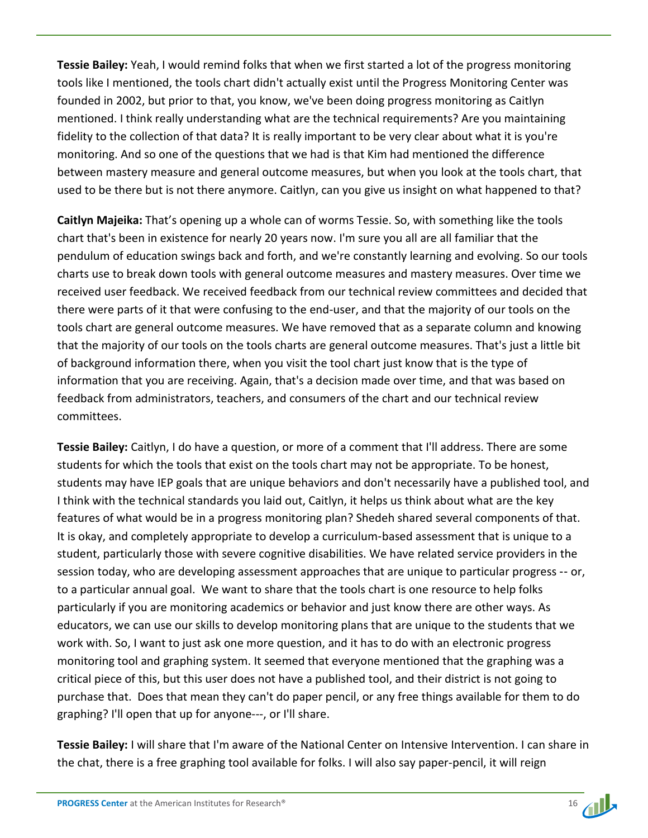**Tessie Bailey:** Yeah, I would remind folks that when we first started a lot of the progress monitoring tools like I mentioned, the tools chart didn't actually exist until the Progress Monitoring Center was founded in 2002, but prior to that, you know, we've been doing progress monitoring as Caitlyn mentioned. I think really understanding what are the technical requirements? Are you maintaining fidelity to the collection of that data? It is really important to be very clear about what it is you're monitoring. And so one of the questions that we had is that Kim had mentioned the difference between mastery measure and general outcome measures, but when you look at the tools chart, that used to be there but is not there anymore. Caitlyn, can you give us insight on what happened to that?

**Caitlyn Majeika:** That's opening up a whole can of worms Tessie. So, with something like the tools chart that's been in existence for nearly 20 years now. I'm sure you all are all familiar that the pendulum of education swings back and forth, and we're constantly learning and evolving. So our tools charts use to break down tools with general outcome measures and mastery measures. Over time we received user feedback. We received feedback from our technical review committees and decided that there were parts of it that were confusing to the end-user, and that the majority of our tools on the tools chart are general outcome measures. We have removed that as a separate column and knowing that the majority of our tools on the tools charts are general outcome measures. That's just a little bit of background information there, when you visit the tool chart just know that is the type of information that you are receiving. Again, that's a decision made over time, and that was based on feedback from administrators, teachers, and consumers of the chart and our technical review committees.

**Tessie Bailey:** Caitlyn, I do have a question, or more of a comment that I'll address. There are some students for which the tools that exist on the tools chart may not be appropriate. To be honest, students may have IEP goals that are unique behaviors and don't necessarily have a published tool, and I think with the technical standards you laid out, Caitlyn, it helps us think about what are the key features of what would be in a progress monitoring plan? Shedeh shared several components of that. It is okay, and completely appropriate to develop a curriculum‑based assessment that is unique to a student, particularly those with severe cognitive disabilities. We have related service providers in the session today, who are developing assessment approaches that are unique to particular progress -- or, to a particular annual goal. We want to share that the tools chart is one resource to help folks particularly if you are monitoring academics or behavior and just know there are other ways. As educators, we can use our skills to develop monitoring plans that are unique to the students that we work with. So, I want to just ask one more question, and it has to do with an electronic progress monitoring tool and graphing system. It seemed that everyone mentioned that the graphing was a critical piece of this, but this user does not have a published tool, and their district is not going to purchase that. Does that mean they can't do paper pencil, or any free things available for them to do graphing? I'll open that up for anyone---, or I'll share.

**Tessie Bailey:** I will share that I'm aware of the National Center on Intensive Intervention. I can share in the chat, there is a free graphing tool available for folks. I will also say paper-pencil, it will reign